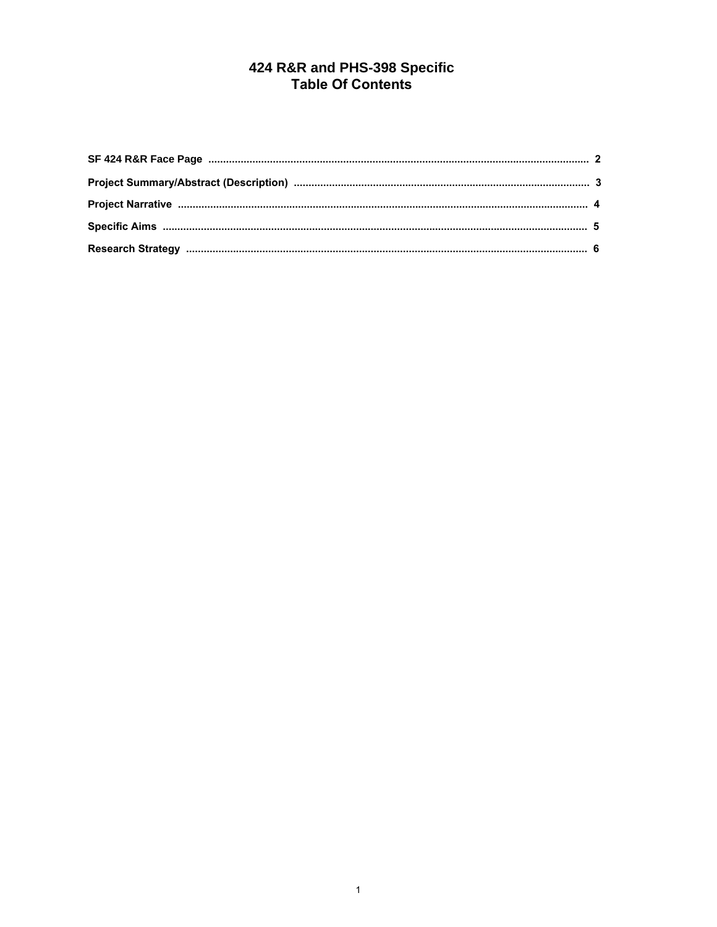# 424 R&R and PHS-398 Specific<br>Table Of Contents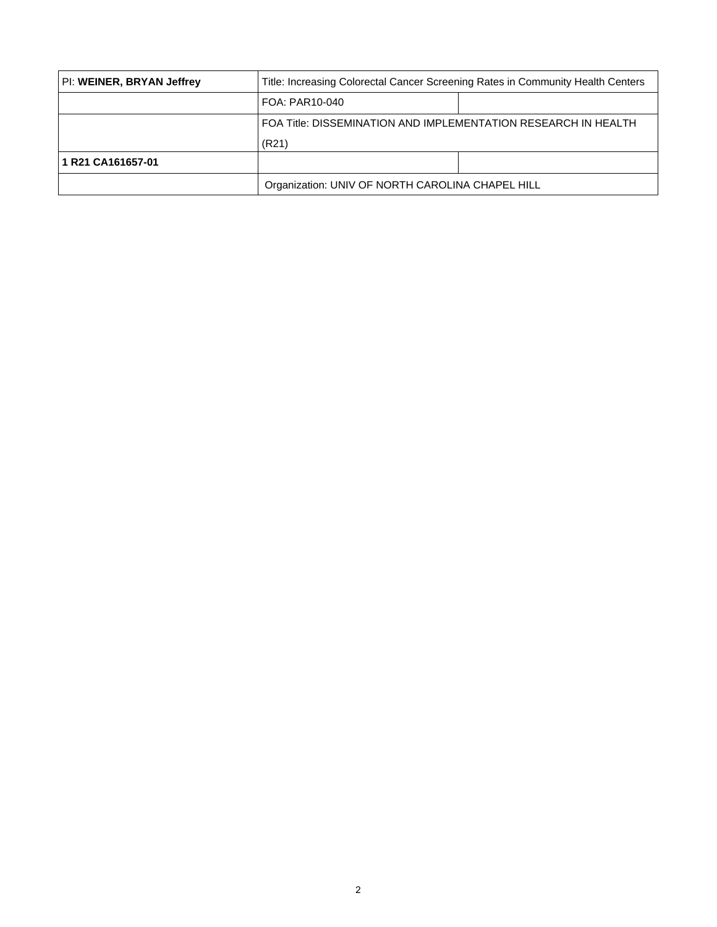<span id="page-1-0"></span>

| PI: WEINER, BRYAN Jeffrey | Title: Increasing Colorectal Cancer Screening Rates in Community Health Centers |  |  |
|---------------------------|---------------------------------------------------------------------------------|--|--|
|                           | FOA: PAR10-040                                                                  |  |  |
|                           | FOA Title: DISSEMINATION AND IMPLEMENTATION RESEARCH IN HEALTH                  |  |  |
|                           | (R21)                                                                           |  |  |
| 1 R21 CA161657-01         |                                                                                 |  |  |
|                           | Organization: UNIV OF NORTH CAROLINA CHAPEL HILL                                |  |  |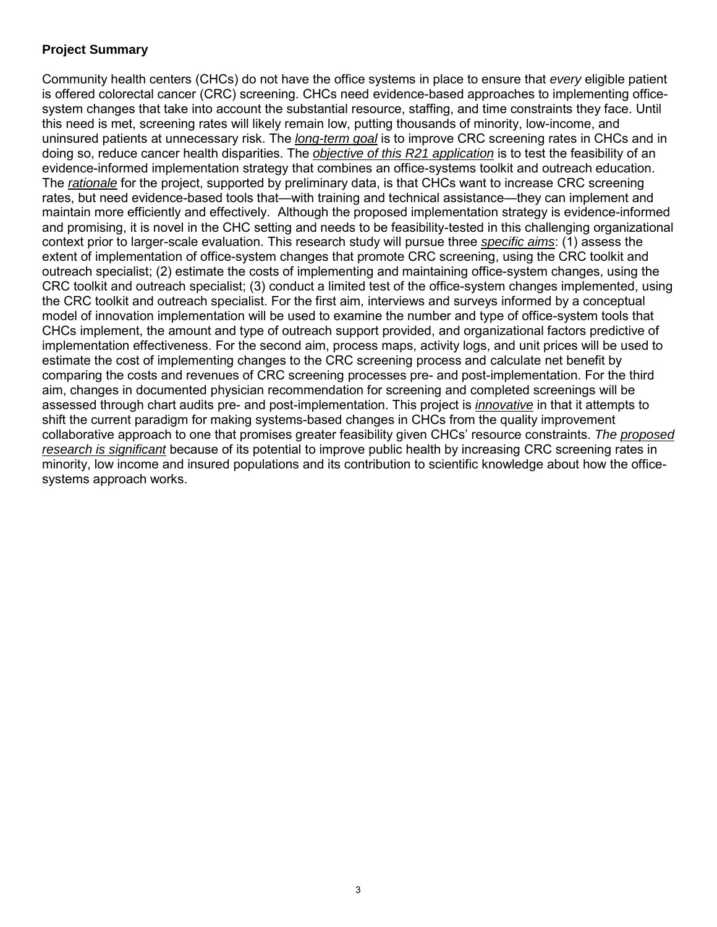## <span id="page-2-0"></span>**Project Summary**

Community health centers (CHCs) do not have the office systems in place to ensure that *every* eligible patient is offered colorectal cancer (CRC) screening. CHCs need evidence-based approaches to implementing officesystem changes that take into account the substantial resource, staffing, and time constraints they face. Until this need is met, screening rates will likely remain low, putting thousands of minority, low-income, and uninsured patients at unnecessary risk. The *long-term goal* is to improve CRC screening rates in CHCs and in doing so, reduce cancer health disparities. The *objective of this R21 application* is to test the feasibility of an evidence-informed implementation strategy that combines an office-systems toolkit and outreach education. The *rationale* for the project, supported by preliminary data, is that CHCs want to increase CRC screening rates, but need evidence-based tools that—with training and technical assistance—they can implement and maintain more efficiently and effectively. Although the proposed implementation strategy is evidence-informed and promising, it is novel in the CHC setting and needs to be feasibility-tested in this challenging organizational context prior to larger-scale evaluation. This research study will pursue three *specific aims*: (1) assess the extent of implementation of office-system changes that promote CRC screening, using the CRC toolkit and outreach specialist; (2) estimate the costs of implementing and maintaining office-system changes, using the CRC toolkit and outreach specialist; (3) conduct a limited test of the office-system changes implemented, using the CRC toolkit and outreach specialist. For the first aim, interviews and surveys informed by a conceptual model of innovation implementation will be used to examine the number and type of office-system tools that CHCs implement, the amount and type of outreach support provided, and organizational factors predictive of implementation effectiveness. For the second aim, process maps, activity logs, and unit prices will be used to estimate the cost of implementing changes to the CRC screening process and calculate net benefit by comparing the costs and revenues of CRC screening processes pre- and post-implementation. For the third aim, changes in documented physician recommendation for screening and completed screenings will be assessed through chart audits pre- and post-implementation. This project is *innovative* in that it attempts to shift the current paradigm for making systems-based changes in CHCs from the quality improvement collaborative approach to one that promises greater feasibility given CHCs' resource constraints. *The proposed research is significant* because of its potential to improve public health by increasing CRC screening rates in minority, low income and insured populations and its contribution to scientific knowledge about how the officesystems approach works.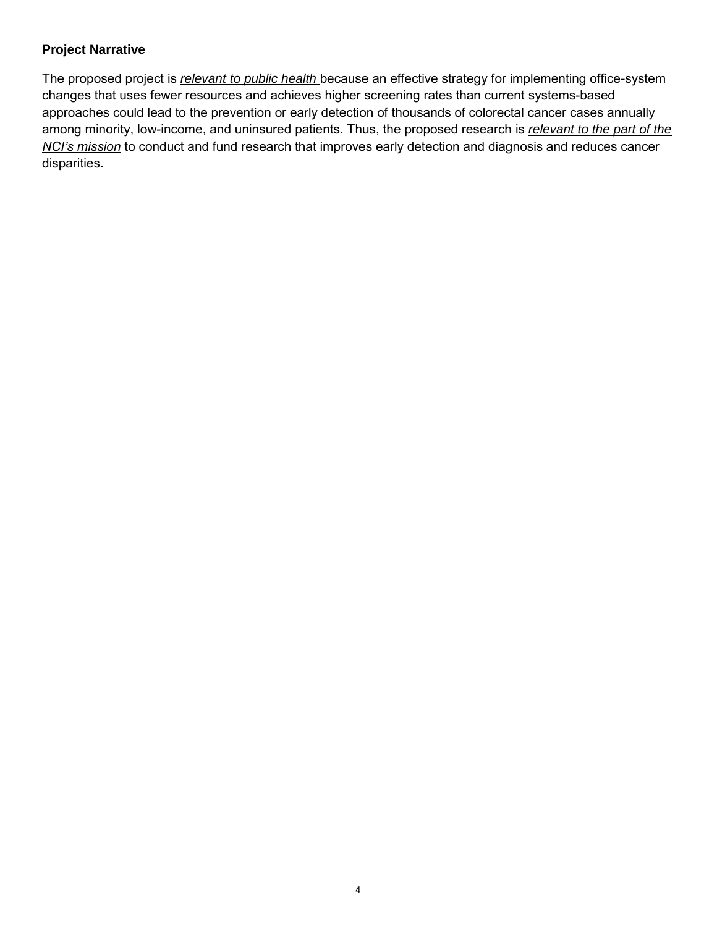## <span id="page-3-0"></span>**Project Narrative**

The proposed project is *relevant to public health* because an effective strategy for implementing office-system changes that uses fewer resources and achieves higher screening rates than current systems-based approaches could lead to the prevention or early detection of thousands of colorectal cancer cases annually among minority, low-income, and uninsured patients. Thus, the proposed research is *relevant to the part of the NCI's mission* to conduct and fund research that improves early detection and diagnosis and reduces cancer disparities.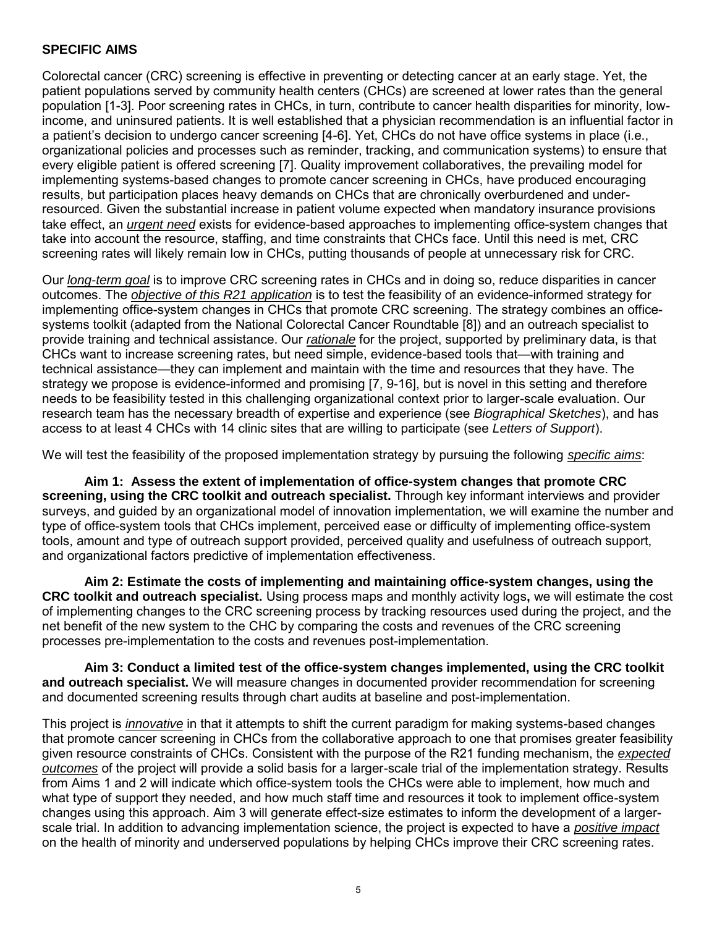#### <span id="page-4-0"></span>**SPECIFIC AIMS**

Colorectal cancer (CRC) screening is effective in preventing or detecting cancer at an early stage. Yet, the patient populations served by community health centers (CHCs) are screened at lower rates than the general population [1-3]. Poor screening rates in CHCs, in turn, contribute to cancer health disparities for minority, lowincome, and uninsured patients. It is well established that a physician recommendation is an influential factor in a patient's decision to undergo cancer screening [4-6]. Yet, CHCs do not have office systems in place (i.e., organizational policies and processes such as reminder, tracking, and communication systems) to ensure that every eligible patient is offered screening [7]. Quality improvement collaboratives, the prevailing model for implementing systems-based changes to promote cancer screening in CHCs, have produced encouraging results, but participation places heavy demands on CHCs that are chronically overburdened and underresourced. Given the substantial increase in patient volume expected when mandatory insurance provisions take effect, an *urgent need* exists for evidence-based approaches to implementing office-system changes that take into account the resource, staffing, and time constraints that CHCs face. Until this need is met, CRC screening rates will likely remain low in CHCs, putting thousands of people at unnecessary risk for CRC.

Our *long-term goal* is to improve CRC screening rates in CHCs and in doing so, reduce disparities in cancer outcomes. The *objective of this R21 application* is to test the feasibility of an evidence-informed strategy for implementing office-system changes in CHCs that promote CRC screening. The strategy combines an officesystems toolkit (adapted from the National Colorectal Cancer Roundtable [8]) and an outreach specialist to provide training and technical assistance. Our *rationale* for the project, supported by preliminary data, is that CHCs want to increase screening rates, but need simple, evidence-based tools that—with training and technical assistance—they can implement and maintain with the time and resources that they have. The strategy we propose is evidence-informed and promising [7, 9-16], but is novel in this setting and therefore needs to be feasibility tested in this challenging organizational context prior to larger-scale evaluation. Our research team has the necessary breadth of expertise and experience (see *Biographical Sketches*), and has access to at least 4 CHCs with 14 clinic sites that are willing to participate (see *Letters of Support*).

We will test the feasibility of the proposed implementation strategy by pursuing the following *specific aims*:

**Aim 1: Assess the extent of implementation of office-system changes that promote CRC screening, using the CRC toolkit and outreach specialist.** Through key informant interviews and provider surveys, and guided by an organizational model of innovation implementation, we will examine the number and type of office-system tools that CHCs implement, perceived ease or difficulty of implementing office-system tools, amount and type of outreach support provided, perceived quality and usefulness of outreach support, and organizational factors predictive of implementation effectiveness.

**Aim 2: Estimate the costs of implementing and maintaining office-system changes, using the CRC toolkit and outreach specialist.** Using process maps and monthly activity logs**,** we will estimate the cost of implementing changes to the CRC screening process by tracking resources used during the project, and the net benefit of the new system to the CHC by comparing the costs and revenues of the CRC screening processes pre-implementation to the costs and revenues post-implementation.

**Aim 3: Conduct a limited test of the office-system changes implemented, using the CRC toolkit and outreach specialist.** We will measure changes in documented provider recommendation for screening and documented screening results through chart audits at baseline and post-implementation.

This project is *innovative* in that it attempts to shift the current paradigm for making systems-based changes that promote cancer screening in CHCs from the collaborative approach to one that promises greater feasibility given resource constraints of CHCs. Consistent with the purpose of the R21 funding mechanism, the *expected outcomes* of the project will provide a solid basis for a larger-scale trial of the implementation strategy. Results from Aims 1 and 2 will indicate which office-system tools the CHCs were able to implement, how much and what type of support they needed, and how much staff time and resources it took to implement office-system changes using this approach. Aim 3 will generate effect-size estimates to inform the development of a largerscale trial. In addition to advancing implementation science, the project is expected to have a *positive impact* on the health of minority and underserved populations by helping CHCs improve their CRC screening rates.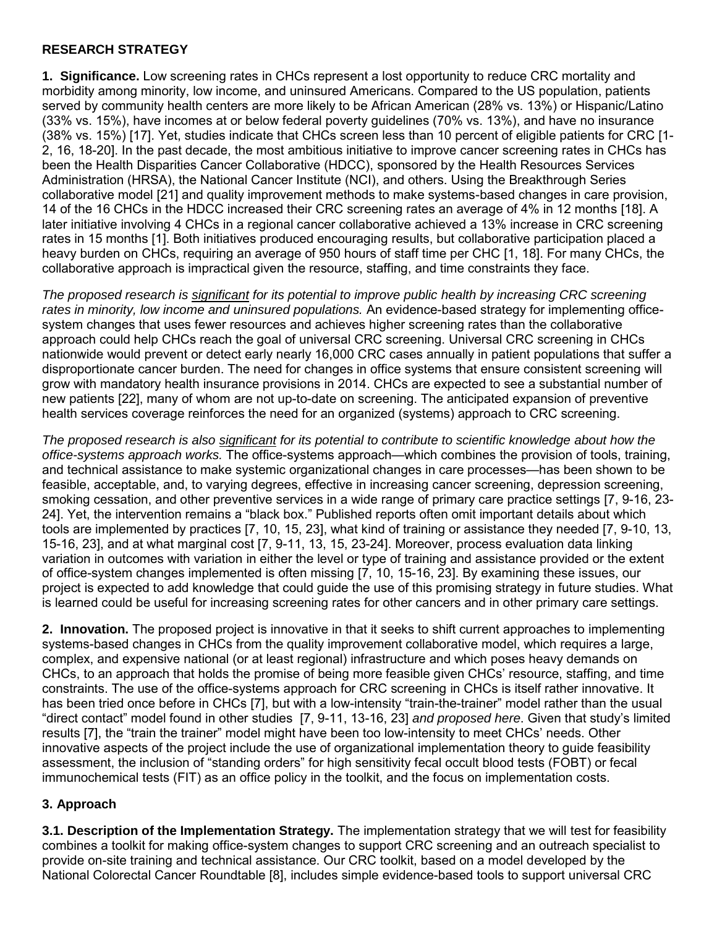## <span id="page-5-0"></span>**RESEARCH STRATEGY**

**1. Significance.** Low screening rates in CHCs represent a lost opportunity to reduce CRC mortality and morbidity among minority, low income, and uninsured Americans. Compared to the US population, patients served by community health centers are more likely to be African American (28% vs. 13%) or Hispanic/Latino (33% vs. 15%), have incomes at or below federal poverty guidelines (70% vs. 13%), and have no insurance (38% vs. 15%) [17]. Yet, studies indicate that CHCs screen less than 10 percent of eligible patients for CRC [1- 2, 16, 18-20]. In the past decade, the most ambitious initiative to improve cancer screening rates in CHCs has been the Health Disparities Cancer Collaborative (HDCC), sponsored by the Health Resources Services Administration (HRSA), the National Cancer Institute (NCI), and others. Using the Breakthrough Series collaborative model [21] and quality improvement methods to make systems-based changes in care provision, 14 of the 16 CHCs in the HDCC increased their CRC screening rates an average of 4% in 12 months [18]. A later initiative involving 4 CHCs in a regional cancer collaborative achieved a 13% increase in CRC screening rates in 15 months [1]. Both initiatives produced encouraging results, but collaborative participation placed a heavy burden on CHCs, requiring an average of 950 hours of staff time per CHC [1, 18]. For many CHCs, the collaborative approach is impractical given the resource, staffing, and time constraints they face.

*The proposed research is significant for its potential to improve public health by increasing CRC screening rates in minority, low income and uninsured populations.* An evidence-based strategy for implementing officesystem changes that uses fewer resources and achieves higher screening rates than the collaborative approach could help CHCs reach the goal of universal CRC screening. Universal CRC screening in CHCs nationwide would prevent or detect early nearly 16,000 CRC cases annually in patient populations that suffer a disproportionate cancer burden. The need for changes in office systems that ensure consistent screening will grow with mandatory health insurance provisions in 2014. CHCs are expected to see a substantial number of new patients [22], many of whom are not up-to-date on screening. The anticipated expansion of preventive health services coverage reinforces the need for an organized (systems) approach to CRC screening.

*The proposed research is also significant for its potential to contribute to scientific knowledge about how the office-systems approach works.* The office-systems approach—which combines the provision of tools, training, and technical assistance to make systemic organizational changes in care processes—has been shown to be feasible, acceptable, and, to varying degrees, effective in increasing cancer screening, depression screening, smoking cessation, and other preventive services in a wide range of primary care practice settings [7, 9-16, 23- 24]. Yet, the intervention remains a "black box." Published reports often omit important details about which tools are implemented by practices [7, 10, 15, 23], what kind of training or assistance they needed [7, 9-10, 13, 15-16, 23], and at what marginal cost [7, 9-11, 13, 15, 23-24]. Moreover, process evaluation data linking variation in outcomes with variation in either the level or type of training and assistance provided or the extent of office-system changes implemented is often missing [7, 10, 15-16, 23]. By examining these issues, our project is expected to add knowledge that could guide the use of this promising strategy in future studies. What is learned could be useful for increasing screening rates for other cancers and in other primary care settings.

**2. Innovation.** The proposed project is innovative in that it seeks to shift current approaches to implementing systems-based changes in CHCs from the quality improvement collaborative model, which requires a large, complex, and expensive national (or at least regional) infrastructure and which poses heavy demands on CHCs, to an approach that holds the promise of being more feasible given CHCs' resource, staffing, and time constraints. The use of the office-systems approach for CRC screening in CHCs is itself rather innovative. It has been tried once before in CHCs [7], but with a low-intensity "train-the-trainer" model rather than the usual ―direct contact‖ model found in other studies [7, 9-11, 13-16, 23] *and proposed here*. Given that study's limited results [7], the "train the trainer" model might have been too low-intensity to meet CHCs' needs. Other innovative aspects of the project include the use of organizational implementation theory to guide feasibility assessment, the inclusion of "standing orders" for high sensitivity fecal occult blood tests (FOBT) or fecal immunochemical tests (FIT) as an office policy in the toolkit, and the focus on implementation costs.

## **3. Approach**

**3.1. Description of the Implementation Strategy.** The implementation strategy that we will test for feasibility combines a toolkit for making office-system changes to support CRC screening and an outreach specialist to provide on-site training and technical assistance. Our CRC toolkit, based on a model developed by the National Colorectal Cancer Roundtable [8], includes simple evidence-based tools to support universal CRC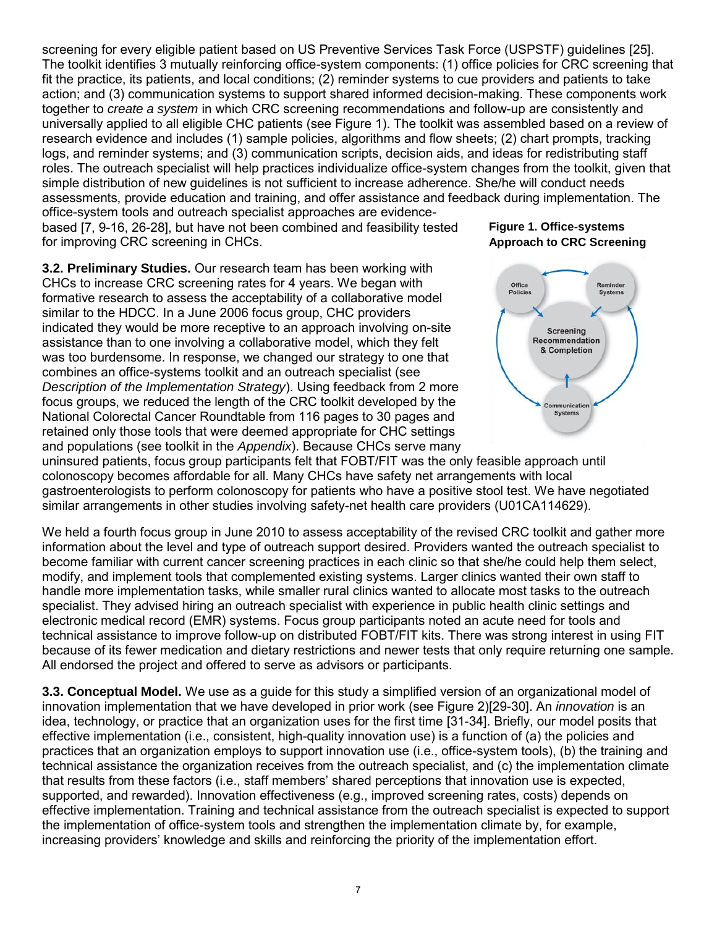screening for every eligible patient based on US Preventive Services Task Force (USPSTF) guidelines [25]. The toolkit identifies 3 mutually reinforcing office-system components: (1) office policies for CRC screening that fit the practice, its patients, and local conditions; (2) reminder systems to cue providers and patients to take action; and (3) communication systems to support shared informed decision-making. These components work together to *create a system* in which CRC screening recommendations and follow-up are consistently and universally applied to all eligible CHC patients (see Figure 1). The toolkit was assembled based on a review of research evidence and includes (1) sample policies, algorithms and flow sheets; (2) chart prompts, tracking logs, and reminder systems; and (3) communication scripts, decision aids, and ideas for redistributing staff roles. The outreach specialist will help practices individualize office-system changes from the toolkit, given that simple distribution of new guidelines is not sufficient to increase adherence. She/he will conduct needs assessments, provide education and training, and offer assistance and feedback during implementation. The

office-system tools and outreach specialist approaches are evidencebased [7, 9-16, 26-28], but have not been combined and feasibility tested for improving CRC screening in CHCs.

**3.2. Preliminary Studies.** Our research team has been working with CHCs to increase CRC screening rates for 4 years. We began with formative research to assess the acceptability of a collaborative model similar to the HDCC. In a June 2006 focus group, CHC providers indicated they would be more receptive to an approach involving on-site assistance than to one involving a collaborative model, which they felt was too burdensome. In response, we changed our strategy to one that combines an office-systems toolkit and an outreach specialist (see *Description of the Implementation Strategy*). Using feedback from 2 more focus groups, we reduced the length of the CRC toolkit developed by the National Colorectal Cancer Roundtable from 116 pages to 30 pages and retained only those tools that were deemed appropriate for CHC settings and populations (see toolkit in the *Appendix*). Because CHCs serve many

## **Figure 1. Office-systems Approach to CRC Screening**



uninsured patients, focus group participants felt that FOBT/FIT was the only feasible approach until colonoscopy becomes affordable for all. Many CHCs have safety net arrangements with local gastroenterologists to perform colonoscopy for patients who have a positive stool test. We have negotiated similar arrangements in other studies involving safety-net health care providers (U01CA114629).

We held a fourth focus group in June 2010 to assess acceptability of the revised CRC toolkit and gather more information about the level and type of outreach support desired. Providers wanted the outreach specialist to become familiar with current cancer screening practices in each clinic so that she/he could help them select, modify, and implement tools that complemented existing systems. Larger clinics wanted their own staff to handle more implementation tasks, while smaller rural clinics wanted to allocate most tasks to the outreach specialist. They advised hiring an outreach specialist with experience in public health clinic settings and electronic medical record (EMR) systems. Focus group participants noted an acute need for tools and technical assistance to improve follow-up on distributed FOBT/FIT kits. There was strong interest in using FIT because of its fewer medication and dietary restrictions and newer tests that only require returning one sample. All endorsed the project and offered to serve as advisors or participants.

**3.3. Conceptual Model.** We use as a guide for this study a simplified version of an organizational model of innovation implementation that we have developed in prior work (see Figure 2)[29-30]. An *innovation* is an idea, technology, or practice that an organization uses for the first time [31-34]. Briefly, our model posits that effective implementation (i.e., consistent, high-quality innovation use) is a function of (a) the policies and practices that an organization employs to support innovation use (i.e., office-system tools), (b) the training and technical assistance the organization receives from the outreach specialist, and (c) the implementation climate that results from these factors (i.e., staff members' shared perceptions that innovation use is expected, supported, and rewarded). Innovation effectiveness (e.g., improved screening rates, costs) depends on effective implementation. Training and technical assistance from the outreach specialist is expected to support the implementation of office-system tools and strengthen the implementation climate by, for example, increasing providers' knowledge and skills and reinforcing the priority of the implementation effort.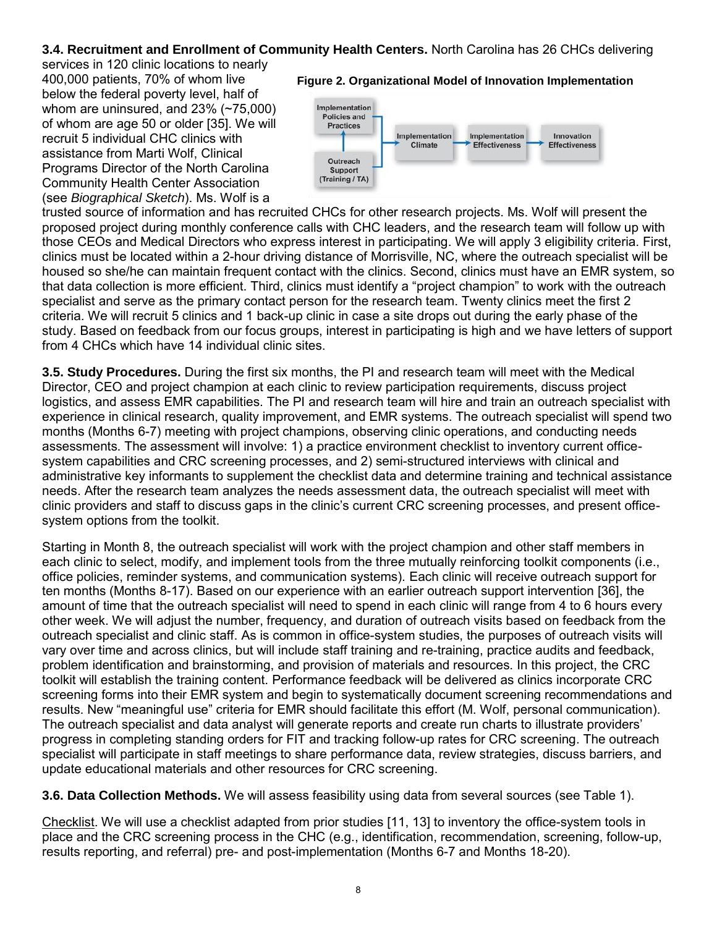# **3.4. Recruitment and Enrollment of Community Health Centers.** North Carolina has 26 CHCs delivering

services in 120 clinic locations to nearly 400,000 patients, 70% of whom live below the federal poverty level, half of whom are uninsured, and 23% (~75,000) of whom are age 50 or older [35]. We will recruit 5 individual CHC clinics with assistance from Marti Wolf, Clinical Programs Director of the North Carolina Community Health Center Association (see *Biographical Sketch*). Ms. Wolf is a

#### **Figure 2. Organizational Model of Innovation Implementation**



trusted source of information and has recruited CHCs for other research projects. Ms. Wolf will present the proposed project during monthly conference calls with CHC leaders, and the research team will follow up with those CEOs and Medical Directors who express interest in participating. We will apply 3 eligibility criteria. First, clinics must be located within a 2-hour driving distance of Morrisville, NC, where the outreach specialist will be housed so she/he can maintain frequent contact with the clinics. Second, clinics must have an EMR system, so that data collection is more efficient. Third, clinics must identify a "project champion" to work with the outreach specialist and serve as the primary contact person for the research team. Twenty clinics meet the first 2 criteria. We will recruit 5 clinics and 1 back-up clinic in case a site drops out during the early phase of the study. Based on feedback from our focus groups, interest in participating is high and we have letters of support from 4 CHCs which have 14 individual clinic sites.

**3.5. Study Procedures.** During the first six months, the PI and research team will meet with the Medical Director, CEO and project champion at each clinic to review participation requirements, discuss project logistics, and assess EMR capabilities. The PI and research team will hire and train an outreach specialist with experience in clinical research, quality improvement, and EMR systems. The outreach specialist will spend two months (Months 6-7) meeting with project champions, observing clinic operations, and conducting needs assessments. The assessment will involve: 1) a practice environment checklist to inventory current officesystem capabilities and CRC screening processes, and 2) semi-structured interviews with clinical and administrative key informants to supplement the checklist data and determine training and technical assistance needs. After the research team analyzes the needs assessment data, the outreach specialist will meet with clinic providers and staff to discuss gaps in the clinic's current CRC screening processes, and present officesystem options from the toolkit.

Starting in Month 8, the outreach specialist will work with the project champion and other staff members in each clinic to select, modify, and implement tools from the three mutually reinforcing toolkit components (i.e., office policies, reminder systems, and communication systems). Each clinic will receive outreach support for ten months (Months 8-17). Based on our experience with an earlier outreach support intervention [36], the amount of time that the outreach specialist will need to spend in each clinic will range from 4 to 6 hours every other week. We will adjust the number, frequency, and duration of outreach visits based on feedback from the outreach specialist and clinic staff. As is common in office-system studies, the purposes of outreach visits will vary over time and across clinics, but will include staff training and re-training, practice audits and feedback, problem identification and brainstorming, and provision of materials and resources. In this project, the CRC toolkit will establish the training content. Performance feedback will be delivered as clinics incorporate CRC screening forms into their EMR system and begin to systematically document screening recommendations and results. New "meaningful use" criteria for EMR should facilitate this effort (M. Wolf, personal communication). The outreach specialist and data analyst will generate reports and create run charts to illustrate providers' progress in completing standing orders for FIT and tracking follow-up rates for CRC screening. The outreach specialist will participate in staff meetings to share performance data, review strategies, discuss barriers, and update educational materials and other resources for CRC screening.

**3.6. Data Collection Methods.** We will assess feasibility using data from several sources (see Table 1).

Checklist. We will use a checklist adapted from prior studies [11, 13] to inventory the office-system tools in place and the CRC screening process in the CHC (e.g., identification, recommendation, screening, follow-up, results reporting, and referral) pre- and post-implementation (Months 6-7 and Months 18-20).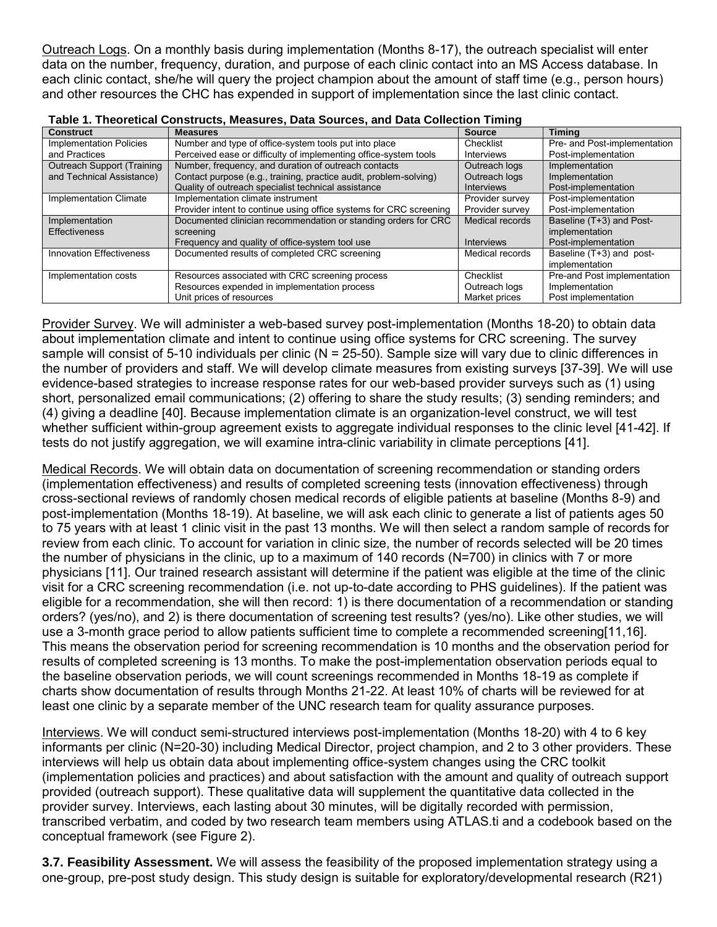Outreach Logs. On a monthly basis during implementation (Months 8-17), the outreach specialist will enter data on the number, frequency, duration, and purpose of each clinic contact into an MS Access database. In each clinic contact, she/he will query the project champion about the amount of staff time (e.g., person hours) and other resources the CHC has expended in support of implementation since the last clinic contact.

| <b>Construct</b>                | <b>Measures</b>                                                    | <b>Source</b>     | <b>Timina</b>                |
|---------------------------------|--------------------------------------------------------------------|-------------------|------------------------------|
| <b>Implementation Policies</b>  | Number and type of office-system tools put into place              | Checklist         | Pre- and Post-implementation |
| and Practices                   | Perceived ease or difficulty of implementing office-system tools   | <b>Interviews</b> | Post-implementation          |
| Outreach Support (Training      | Number, frequency, and duration of outreach contacts               | Outreach logs     | Implementation               |
| and Technical Assistance)       | Contact purpose (e.g., training, practice audit, problem-solving)  | Outreach logs     | Implementation               |
|                                 | Quality of outreach specialist technical assistance                | <b>Interviews</b> | Post-implementation          |
| Implementation Climate          | Implementation climate instrument                                  | Provider survey   | Post-implementation          |
|                                 | Provider intent to continue using office systems for CRC screening | Provider survey   | Post-implementation          |
| Implementation                  | Documented clinician recommendation or standing orders for CRC     | Medical records   | Baseline (T+3) and Post-     |
| <b>Effectiveness</b>            | screening                                                          |                   | implementation               |
|                                 | Frequency and quality of office-system tool use                    | <b>Interviews</b> | Post-implementation          |
| <b>Innovation Effectiveness</b> | Documented results of completed CRC screening                      | Medical records   | Baseline (T+3) and post-     |
|                                 |                                                                    |                   | implementation               |
| Implementation costs            | Resources associated with CRC screening process                    | Checklist         | Pre-and Post implementation  |
|                                 | Resources expended in implementation process                       | Outreach logs     | Implementation               |
|                                 | Unit prices of resources                                           | Market prices     | Post implementation          |

| Table 1. Theoretical Constructs, Measures, Data Sources, and Data Collection Timing |  |  |  |  |
|-------------------------------------------------------------------------------------|--|--|--|--|
|-------------------------------------------------------------------------------------|--|--|--|--|

Provider Survey. We will administer a web-based survey post-implementation (Months 18-20) to obtain data about implementation climate and intent to continue using office systems for CRC screening. The survey sample will consist of 5-10 individuals per clinic ( $N = 25-50$ ). Sample size will vary due to clinic differences in the number of providers and staff. We will develop climate measures from existing surveys [37-39]. We will use evidence-based strategies to increase response rates for our web-based provider surveys such as (1) using short, personalized email communications; (2) offering to share the study results; (3) sending reminders; and (4) giving a deadline [40]. Because implementation climate is an organization-level construct, we will test whether sufficient within-group agreement exists to aggregate individual responses to the clinic level [41-42]. If tests do not justify aggregation, we will examine intra-clinic variability in climate perceptions [41].

Medical Records. We will obtain data on documentation of screening recommendation or standing orders (implementation effectiveness) and results of completed screening tests (innovation effectiveness) through cross-sectional reviews of randomly chosen medical records of eligible patients at baseline (Months 8-9) and post-implementation (Months 18-19). At baseline, we will ask each clinic to generate a list of patients ages 50 to 75 years with at least 1 clinic visit in the past 13 months. We will then select a random sample of records for review from each clinic. To account for variation in clinic size, the number of records selected will be 20 times the number of physicians in the clinic, up to a maximum of 140 records (N=700) in clinics with 7 or more physicians [11]. Our trained research assistant will determine if the patient was eligible at the time of the clinic visit for a CRC screening recommendation (i.e. not up-to-date according to PHS guidelines). If the patient was eligible for a recommendation, she will then record: 1) is there documentation of a recommendation or standing orders? (yes/no), and 2) is there documentation of screening test results? (yes/no). Like other studies, we will use a 3-month grace period to allow patients sufficient time to complete a recommended screening[11,16]. This means the observation period for screening recommendation is 10 months and the observation period for results of completed screening is 13 months. To make the post-implementation observation periods equal to the baseline observation periods, we will count screenings recommended in Months 18-19 as complete if charts show documentation of results through Months 21-22. At least 10% of charts will be reviewed for at least one clinic by a separate member of the UNC research team for quality assurance purposes.

Interviews. We will conduct semi-structured interviews post-implementation (Months 18-20) with 4 to 6 key informants per clinic (N=20-30) including Medical Director, project champion, and 2 to 3 other providers. These interviews will help us obtain data about implementing office-system changes using the CRC toolkit (implementation policies and practices) and about satisfaction with the amount and quality of outreach support provided (outreach support). These qualitative data will supplement the quantitative data collected in the provider survey. Interviews, each lasting about 30 minutes, will be digitally recorded with permission, transcribed verbatim, and coded by two research team members using ATLAS.ti and a codebook based on the conceptual framework (see Figure 2).

**3.7. Feasibility Assessment.** We will assess the feasibility of the proposed implementation strategy using a one-group, pre-post study design. This study design is suitable for exploratory/developmental research (R21)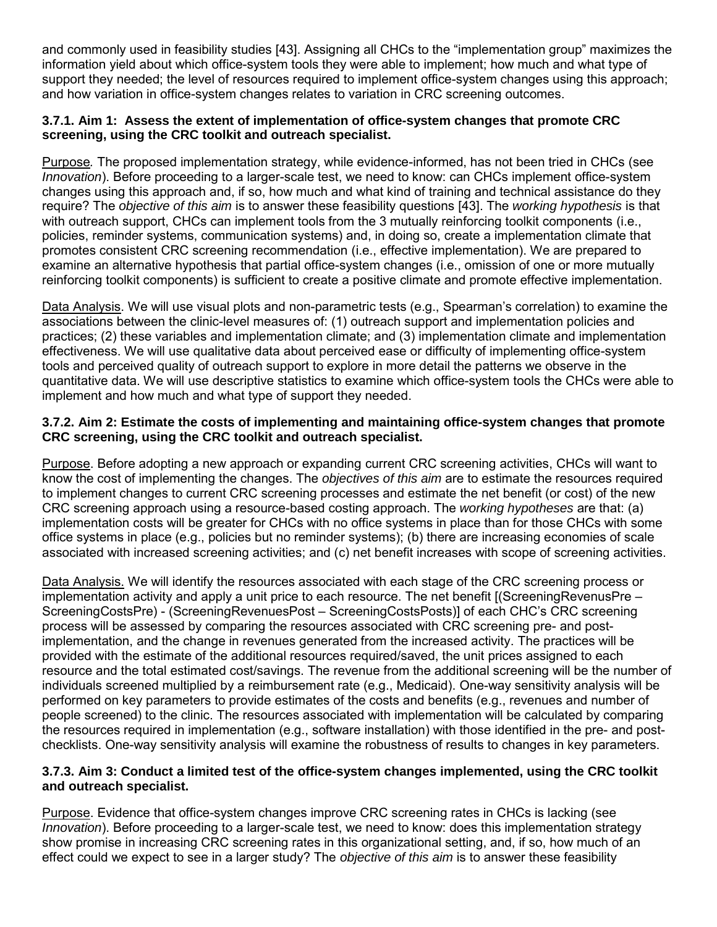and commonly used in feasibility studies [43]. Assigning all CHCs to the "implementation group" maximizes the information yield about which office-system tools they were able to implement; how much and what type of support they needed; the level of resources required to implement office-system changes using this approach; and how variation in office-system changes relates to variation in CRC screening outcomes.

## **3.7.1. Aim 1: Assess the extent of implementation of office-system changes that promote CRC screening, using the CRC toolkit and outreach specialist.**

Purpose*.* The proposed implementation strategy, while evidence-informed, has not been tried in CHCs (see *Innovation*). Before proceeding to a larger-scale test, we need to know: can CHCs implement office-system changes using this approach and, if so, how much and what kind of training and technical assistance do they require? The *objective of this aim* is to answer these feasibility questions [43]. The *working hypothesis* is that with outreach support, CHCs can implement tools from the 3 mutually reinforcing toolkit components (i.e., policies, reminder systems, communication systems) and, in doing so, create a implementation climate that promotes consistent CRC screening recommendation (i.e., effective implementation). We are prepared to examine an alternative hypothesis that partial office-system changes (i.e., omission of one or more mutually reinforcing toolkit components) is sufficient to create a positive climate and promote effective implementation.

Data Analysis. We will use visual plots and non-parametric tests (e.g., Spearman's correlation) to examine the associations between the clinic-level measures of: (1) outreach support and implementation policies and practices; (2) these variables and implementation climate; and (3) implementation climate and implementation effectiveness. We will use qualitative data about perceived ease or difficulty of implementing office-system tools and perceived quality of outreach support to explore in more detail the patterns we observe in the quantitative data. We will use descriptive statistics to examine which office-system tools the CHCs were able to implement and how much and what type of support they needed.

## **3.7.2. Aim 2: Estimate the costs of implementing and maintaining office-system changes that promote CRC screening, using the CRC toolkit and outreach specialist.**

Purpose. Before adopting a new approach or expanding current CRC screening activities, CHCs will want to know the cost of implementing the changes. The *objectives of this aim* are to estimate the resources required to implement changes to current CRC screening processes and estimate the net benefit (or cost) of the new CRC screening approach using a resource-based costing approach. The *working hypotheses* are that: (a) implementation costs will be greater for CHCs with no office systems in place than for those CHCs with some office systems in place (e.g., policies but no reminder systems); (b) there are increasing economies of scale associated with increased screening activities; and (c) net benefit increases with scope of screening activities.

Data Analysis. We will identify the resources associated with each stage of the CRC screening process or implementation activity and apply a unit price to each resource. The net benefit [(ScreeningRevenusPre – ScreeningCostsPre) - (ScreeningRevenuesPost – ScreeningCostsPosts)] of each CHC's CRC screening process will be assessed by comparing the resources associated with CRC screening pre- and postimplementation, and the change in revenues generated from the increased activity. The practices will be provided with the estimate of the additional resources required/saved, the unit prices assigned to each resource and the total estimated cost/savings. The revenue from the additional screening will be the number of individuals screened multiplied by a reimbursement rate (e.g., Medicaid). One-way sensitivity analysis will be performed on key parameters to provide estimates of the costs and benefits (e.g., revenues and number of people screened) to the clinic. The resources associated with implementation will be calculated by comparing the resources required in implementation (e.g., software installation) with those identified in the pre- and postchecklists. One-way sensitivity analysis will examine the robustness of results to changes in key parameters.

## **3.7.3. Aim 3: Conduct a limited test of the office-system changes implemented, using the CRC toolkit and outreach specialist.**

Purpose. Evidence that office-system changes improve CRC screening rates in CHCs is lacking (see *Innovation*). Before proceeding to a larger-scale test, we need to know: does this implementation strategy show promise in increasing CRC screening rates in this organizational setting, and, if so, how much of an effect could we expect to see in a larger study? The *objective of this aim* is to answer these feasibility